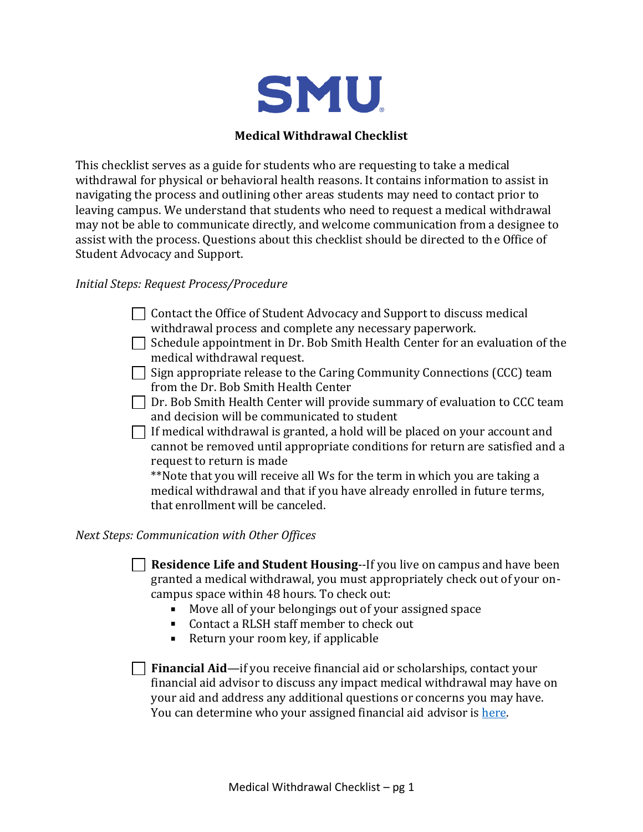

## **Medical Withdrawal Checklist**

This checklist serves as a guide for students who are requesting to take a medical withdrawal for physical or behavioral health reasons. It contains information to assist in navigating the process and outlining other areas students may need to contact prior to leaving campus. We understand that students who need to request a medical withdrawal may not be able to communicate directly, and welcome communication from a designee to assist with the process. Questions about this checklist should be directed to the Office of Student Advocacy and Support.

## *Initial Steps: Request Process/Procedure*

- $\Box$  Contact the Office of Student Advocacy and Support to discuss medical withdrawal process and complete any necessary paperwork.
- $\Box$  Schedule appointment in Dr. Bob Smith Health Center for an evaluation of the medical withdrawal request.
- $\Box$  Sign appropriate release to the Caring Community Connections (CCC) team from the Dr. Bob Smith Health Center
- $\Box$  Dr. Bob Smith Health Center will provide summary of evaluation to CCC team and decision will be communicated to student
- $\Box$  If medical withdrawal is granted, a hold will be placed on your account and cannot be removed until appropriate conditions for return are satisfied and a request to return is made

\*\*Note that you will receive all Ws for the term in which you are taking a medical withdrawal and that if you have already enrolled in future terms, that enrollment will be canceled.

## *Next Steps: Communication with Other Offices*

**Residence Life and Student Housing**--If you live on campus and have been granted a medical withdrawal, you must appropriately check out of your oncampus space within 48 hours. To check out:

- Move all of your belongings out of your assigned space
- Contact a RLSH staff member to check out
- Return your room key, if applicable

**Financial Aid**—if you receive financial aid or scholarships, contact your financial aid advisor to discuss any impact medical withdrawal may have on your aid and address any additional questions or concerns you may have. You can determine who your assigned financial aid advisor is here.